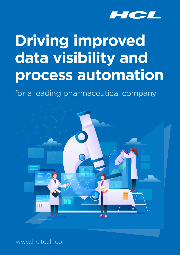

# **Driving improved data visibility and process automation**

for a leading pharmaceutical company



www.hcltech.com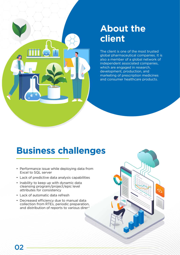

### **About the client**

The client is one of the most trusted global pharmaceutical companies. It is also a member of a global network of independent associated companies, which are engaged in research, development, production, and marketing of prescription medicines and consumer healthcare products.

#### **Business challenges**

- Performance issue while deploying data from Excel to SQL server
- Lack of predictive data analysis capabilities
- Inability to keep up with dynamic data cleansing program/project/epic level attributes for consistency
- Lack of automatic data refresh
- Decreased efficiency due to manual data collection from RTEs, periodic preparation, and distribution of reports to various directors

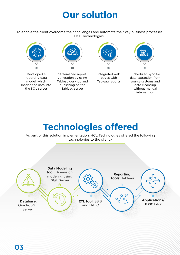#### **Our solution**

To enable the client overcome their challenges and automate their key business processes, HCL Technologies:-



## **Technologies offered**

As part of this solution implementation, HCL Technologies offered the following technologies to the client:-